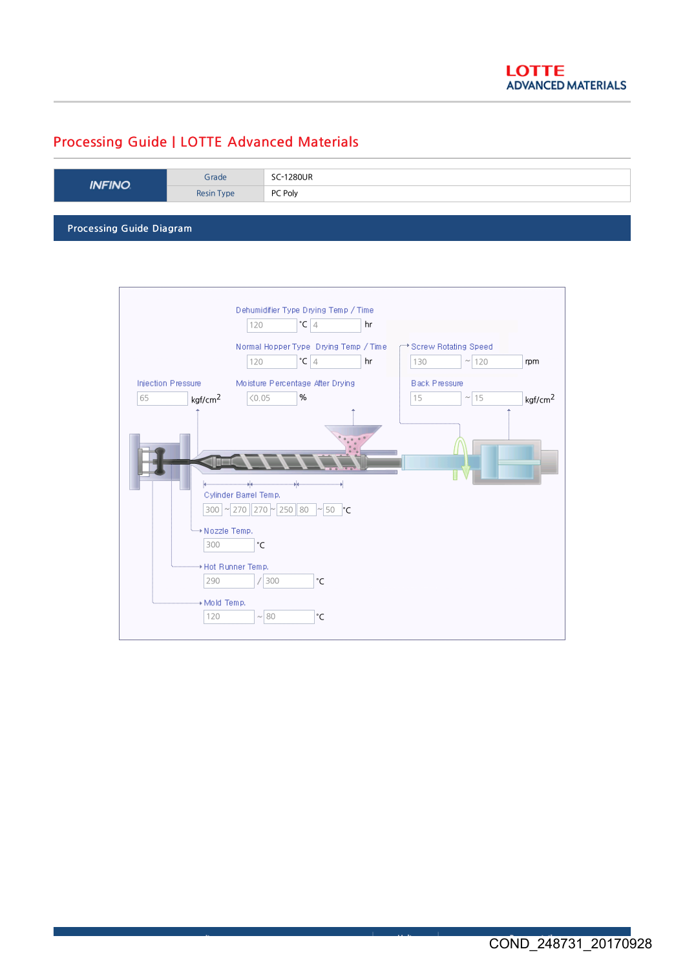## Processing Guide | LOTTE Advanced Materials

| <b>INFINO</b>            | Grade      | <b>SC-1280UR</b> |  |  |
|--------------------------|------------|------------------|--|--|
|                          | Resin Type | PC Poly          |  |  |
|                          |            |                  |  |  |
| Processing Guide Diagram |            |                  |  |  |

Dehumidifier Type Drying Temp / Time  $\boxed{120}$   $\boxed{4}$  $\overline{\phantom{a}}$  hr Normal Hopper Type Drying Temp / Time Screw Rotating Speed  $120$   ${}^{\circ}C$   $4$ 130 120 °C hr rpm Injection Pressure Moisture Percentage After Drying Black Pressure 65  $\overline{\langle 0.05 \rangle}$ %  $15$   $\sim$   $15$ kgf/cm<sup>2</sup>  $\sqrt{0.05}$  % 15  $\sqrt{15}$  kgf/cm<sup>2</sup> Cylinder Barrel Temp. 300 | ~ 270 || 270 | ~ | 250 || 80 | ~ | 50 | **°C** \*Nozzle Temp, 300 °C + Hot Runner Temp.  $\boxed{290}$  / $\boxed{300}$ °C + Mold Temp.  $120$   $\sim 80$ °C